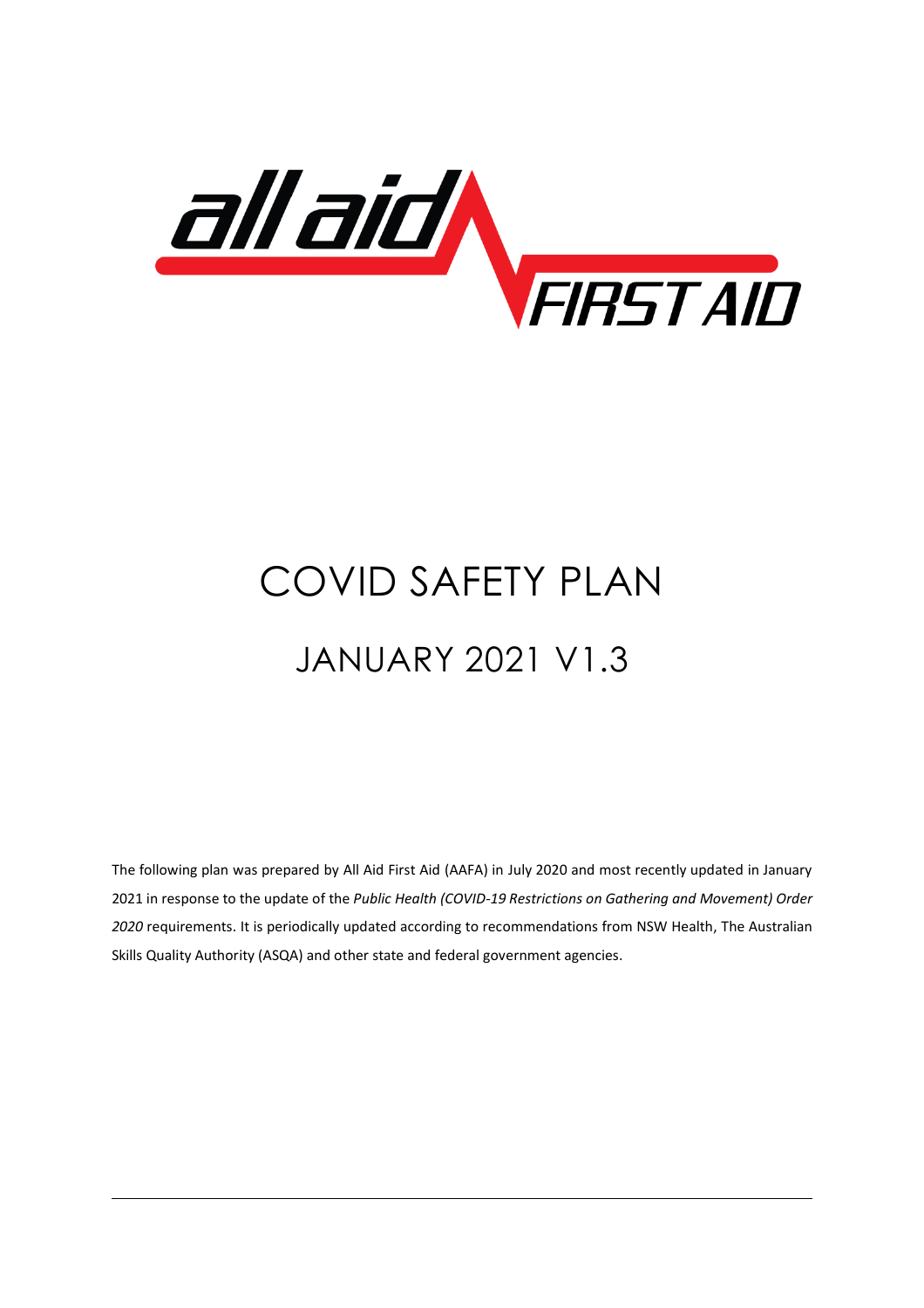

# COVID SAFETY PLAN JANUARY 2021 V1.3

The following plan was prepared by All Aid First Aid (AAFA) in July 2020 and most recently updated in January 2021 in response to the update of the *Public Health (COVID-19 Restrictions on Gathering and Movement) Order 2020* requirements. It is periodically updated according to recommendations from NSW Health, The Australian Skills Quality Authority (ASQA) and other state and federal government agencies.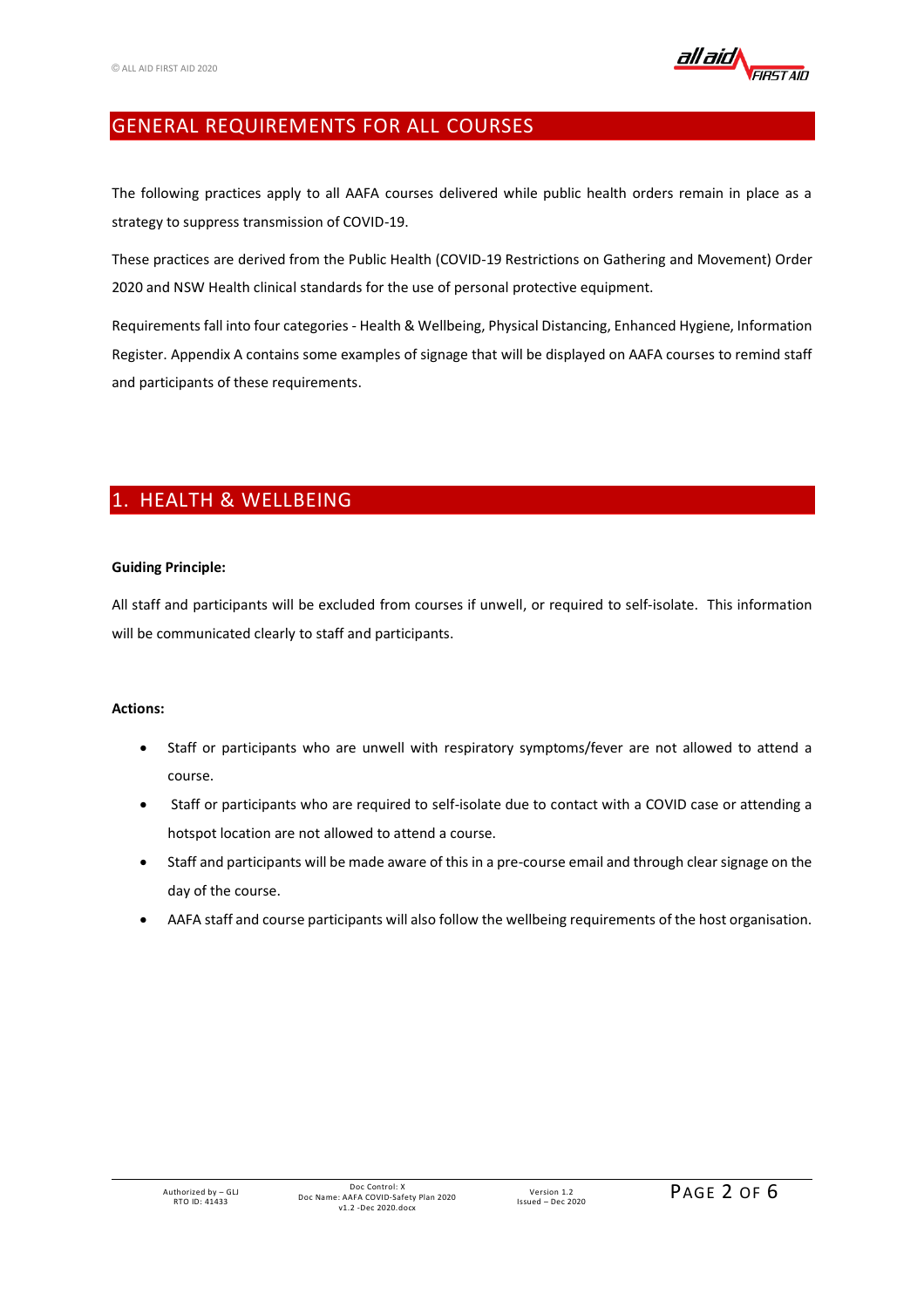

## GENERAL REQUIREMENTS FOR ALL COURSES

The following practices apply to all AAFA courses delivered while public health orders remain in place as a strategy to suppress transmission of COVID-19.

These practices are derived from the Public Health (COVID-19 Restrictions on Gathering and Movement) Order 2020 and NSW Health clinical standards for the use of personal protective equipment.

Requirements fall into four categories - Health & Wellbeing, Physical Distancing, Enhanced Hygiene, Information Register. Appendix A contains some examples of signage that will be displayed on AAFA courses to remind staff and participants of these requirements.

## 1. HEALTH & WELLBEING

## **Guiding Principle:**

All staff and participants will be excluded from courses if unwell, or required to self-isolate. This information will be communicated clearly to staff and participants.

- Staff or participants who are unwell with respiratory symptoms/fever are not allowed to attend a course.
- Staff or participants who are required to self-isolate due to contact with a COVID case or attending a hotspot location are not allowed to attend a course.
- Staff and participants will be made aware of this in a pre-course email and through clear signage on the day of the course.
- AAFA staff and course participants will also follow the wellbeing requirements of the host organisation.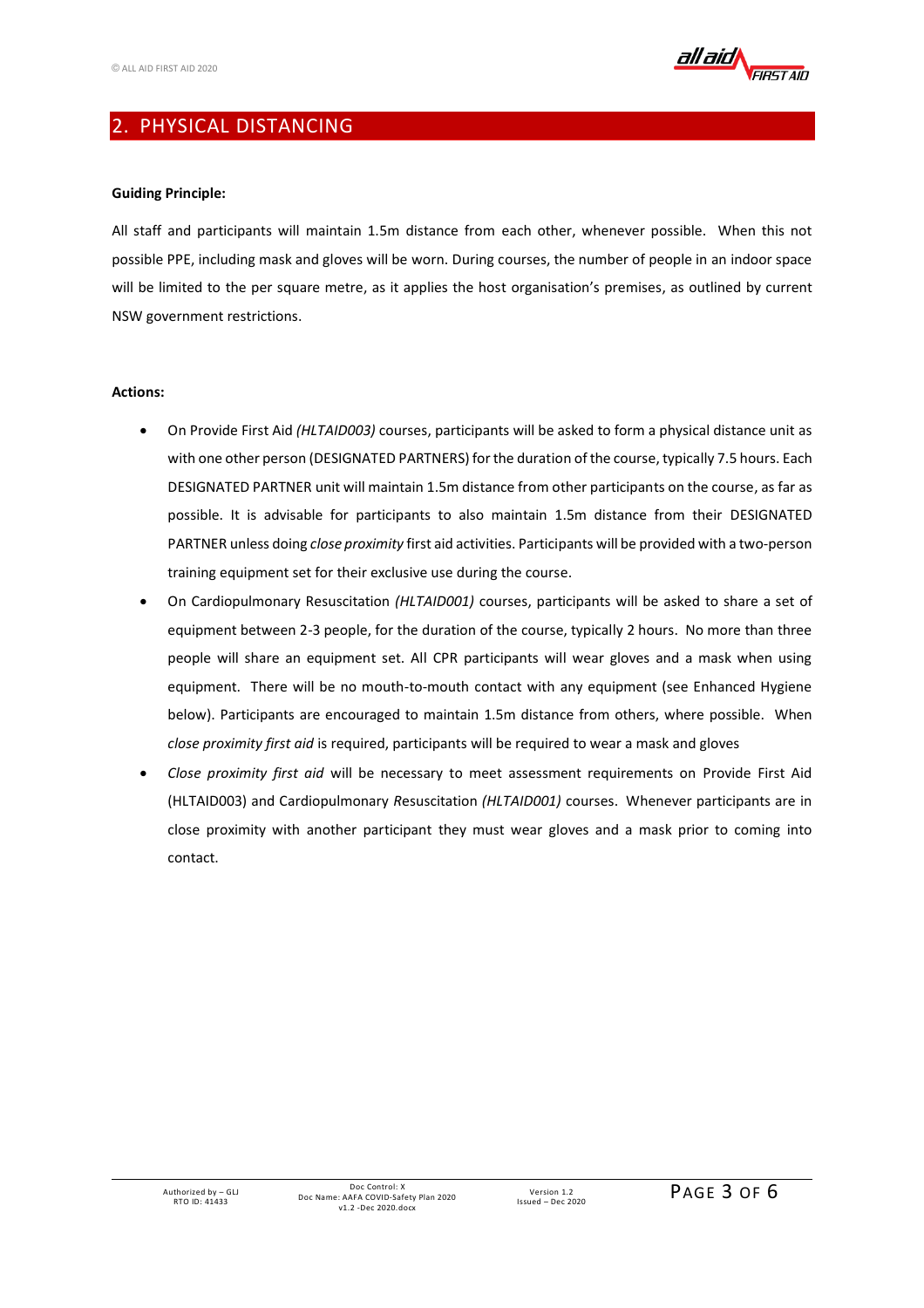

## 2. PHYSICAL DISTANCING

#### **Guiding Principle:**

All staff and participants will maintain 1.5m distance from each other, whenever possible. When this not possible PPE, including mask and gloves will be worn. During courses, the number of people in an indoor space will be limited to the per square metre, as it applies the host organisation's premises, as outlined by current NSW government restrictions.

- On Provide First Aid *(HLTAID003)* courses, participants will be asked to form a physical distance unit as with one other person (DESIGNATED PARTNERS) for the duration of the course, typically 7.5 hours. Each DESIGNATED PARTNER unit will maintain 1.5m distance from other participants on the course, as far as possible. It is advisable for participants to also maintain 1.5m distance from their DESIGNATED PARTNER unless doing *close proximity* first aid activities. Participants will be provided with a two-person training equipment set for their exclusive use during the course.
- On Cardiopulmonary Resuscitation *(HLTAID001)* courses, participants will be asked to share a set of equipment between 2-3 people, for the duration of the course, typically 2 hours. No more than three people will share an equipment set. All CPR participants will wear gloves and a mask when using equipment. There will be no mouth-to-mouth contact with any equipment (see Enhanced Hygiene below). Participants are encouraged to maintain 1.5m distance from others, where possible. When *close proximity first aid* is required, participants will be required to wear a mask and gloves
- *Close proximity first aid* will be necessary to meet assessment requirements on Provide First Aid (HLTAID003) and Cardiopulmonary *R*esuscitation *(HLTAID001)* courses. Whenever participants are in close proximity with another participant they must wear gloves and a mask prior to coming into contact.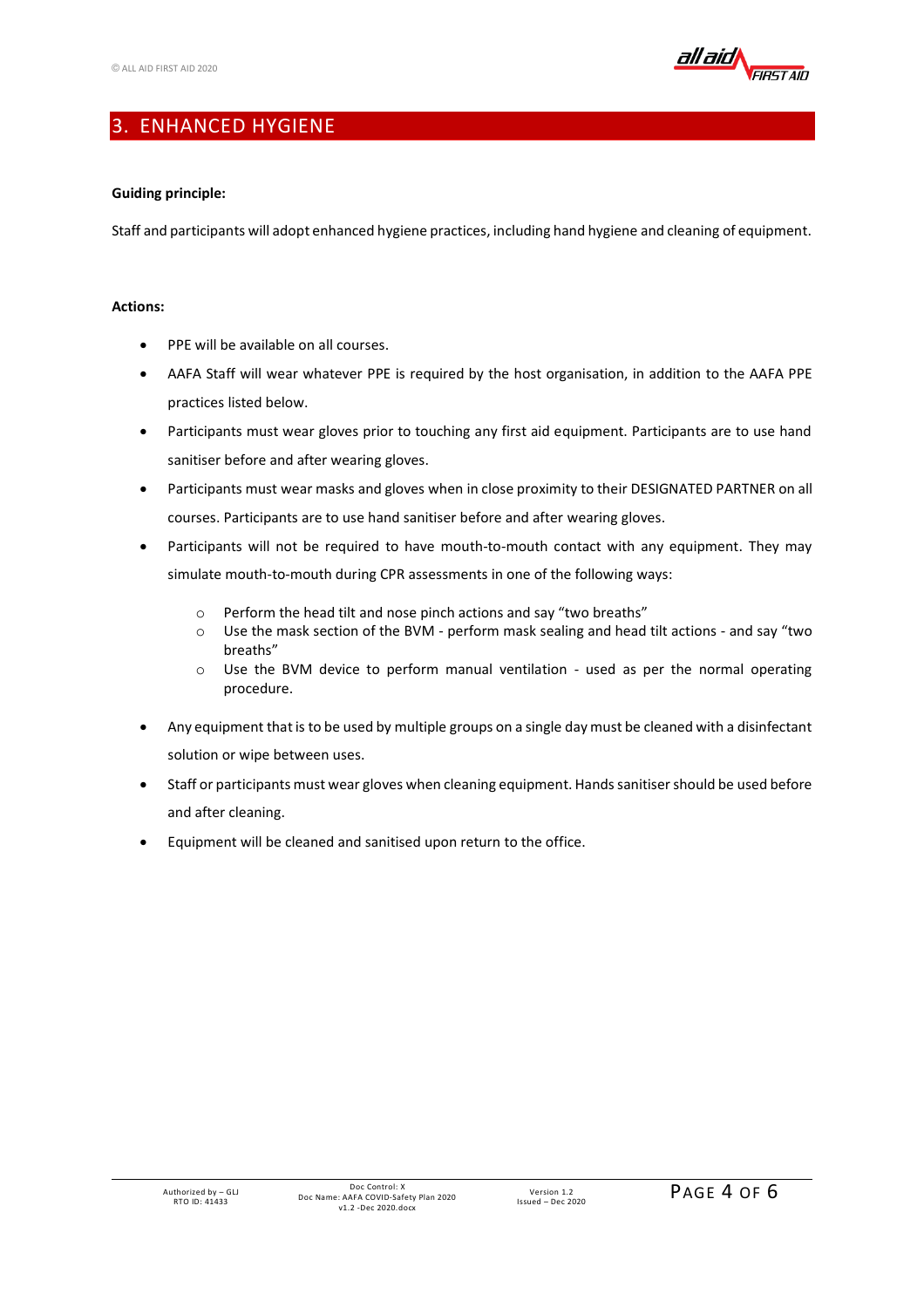

## 3. ENHANCED HYGIENE

## **Guiding principle:**

Staff and participants will adopt enhanced hygiene practices, including hand hygiene and cleaning of equipment.

- PPE will be available on all courses.
- AAFA Staff will wear whatever PPE is required by the host organisation, in addition to the AAFA PPE practices listed below.
- Participants must wear gloves prior to touching any first aid equipment. Participants are to use hand sanitiser before and after wearing gloves.
- Participants must wear masks and gloves when in close proximity to their DESIGNATED PARTNER on all courses. Participants are to use hand sanitiser before and after wearing gloves.
- Participants will not be required to have mouth-to-mouth contact with any equipment. They may simulate mouth-to-mouth during CPR assessments in one of the following ways:
	- o Perform the head tilt and nose pinch actions and say "two breaths"
	- $\circ$  Use the mask section of the BVM perform mask sealing and head tilt actions and say "two breaths"
	- o Use the BVM device to perform manual ventilation used as per the normal operating procedure.
- Any equipment that is to be used by multiple groups on a single day must be cleaned with a disinfectant solution or wipe between uses.
- Staff or participants must wear gloves when cleaning equipment. Hands sanitiser should be used before and after cleaning.
- Equipment will be cleaned and sanitised upon return to the office.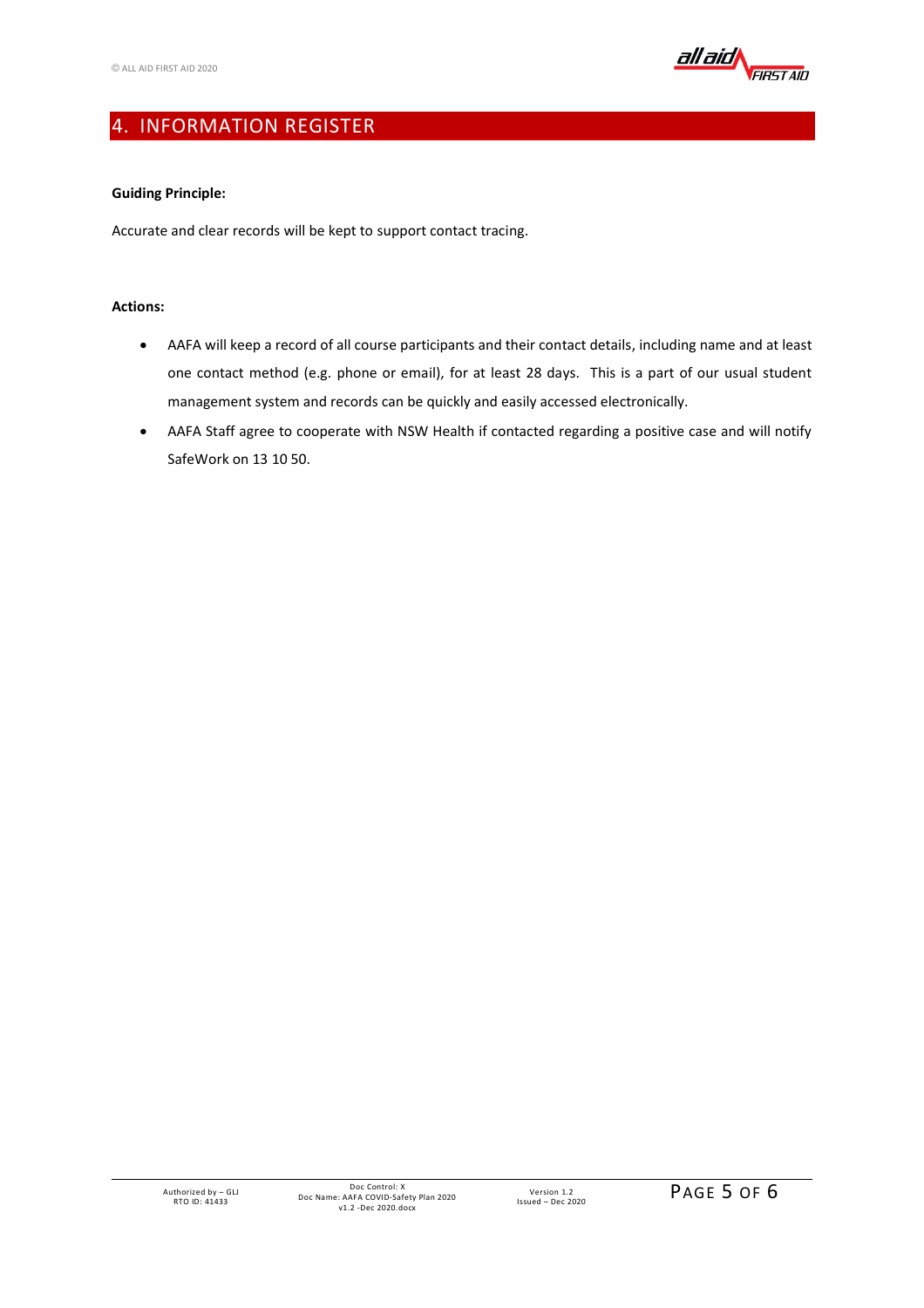

## 4. INFORMATION REGISTER

## **Guiding Principle:**

Accurate and clear records will be kept to support contact tracing.

- AAFA will keep a record of all course participants and their contact details, including name and at least one contact method (e.g. phone or email), for at least 28 days. This is a part of our usual student management system and records can be quickly and easily accessed electronically.
- AAFA Staff agree to cooperate with NSW Health if contacted regarding a positive case and will notify SafeWork on 13 10 50.